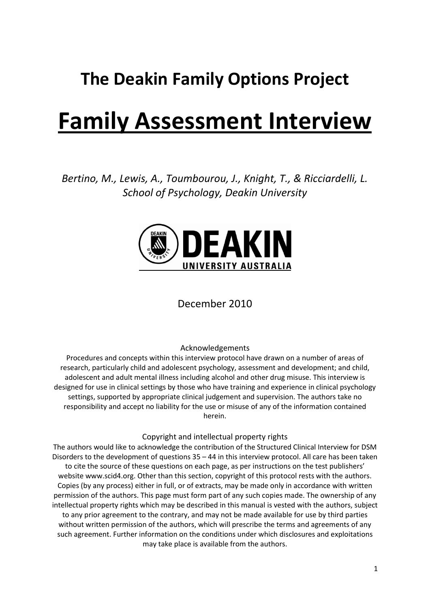## **The Deakin Family Options Project**

## **Family Assessment Interview**

*Bertino, M., Lewis, A., Toumbourou, J., Knight, T., & Ricciardelli, L. School of Psychology, Deakin University*



### December 2010

#### Acknowledgements

Procedures and concepts within this interview protocol have drawn on a number of areas of research, particularly child and adolescent psychology, assessment and development; and child, adolescent and adult mental illness including alcohol and other drug misuse. This interview is designed for use in clinical settings by those who have training and experience in clinical psychology settings, supported by appropriate clinical judgement and supervision. The authors take no responsibility and accept no liability for the use or misuse of any of the information contained herein.

#### Copyright and intellectual property rights

The authors would like to acknowledge the contribution of the Structured Clinical Interview for DSM Disorders to the development of questions 35 – 44 in this interview protocol. All care has been taken to cite the source of these questions on each page, as per instructions on the test publishers' website www.scid4.org. Other than this section, copyright of this protocol rests with the authors. Copies (by any process) either in full, or of extracts, may be made only in accordance with written permission of the authors. This page must form part of any such copies made. The ownership of any intellectual property rights which may be described in this manual is vested with the authors, subject to any prior agreement to the contrary, and may not be made available for use by third parties without written permission of the authors, which will prescribe the terms and agreements of any such agreement. Further information on the conditions under which disclosures and exploitations may take place is available from the authors.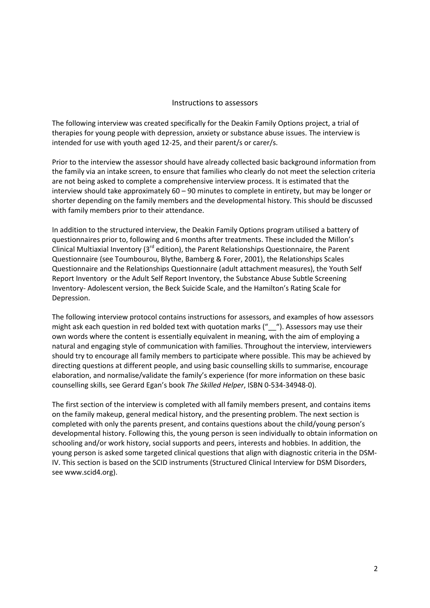#### Instructions to assessors

The following interview was created specifically for the Deakin Family Options project, a trial of therapies for young people with depression, anxiety or substance abuse issues. The interview is intended for use with youth aged 12-25, and their parent/s or carer/s.

Prior to the interview the assessor should have already collected basic background information from the family via an intake screen, to ensure that families who clearly do not meet the selection criteria are not being asked to complete a comprehensive interview process. It is estimated that the interview should take approximately 60 – 90 minutes to complete in entirety, but may be longer or shorter depending on the family members and the developmental history. This should be discussed with family members prior to their attendance.

In addition to the structured interview, the Deakin Family Options program utilised a battery of questionnaires prior to, following and 6 months after treatments. These included the Millon's Clinical Multiaxial Inventory (3rd edition), the Parent Relationships Questionnaire, the Parent Questionnaire (see Toumbourou, Blythe, Bamberg & Forer, 2001), the Relationships Scales Questionnaire and the Relationships Questionnaire (adult attachment measures), the Youth Self Report Inventory or the Adult Self Report Inventory, the Substance Abuse Subtle Screening Inventory- Adolescent version, the Beck Suicide Scale, and the Hamilton's Rating Scale for Depression.

The following interview protocol contains instructions for assessors, and examples of how assessors might ask each question in red bolded text with quotation marks ("
Cassacture"). Assessors may use their own words where the content is essentially equivalent in meaning, with the aim of employing a natural and engaging style of communication with families. Throughout the interview, interviewers should try to encourage all family members to participate where possible. This may be achieved by directing questions at different people, and using basic counselling skills to summarise, encourage elaboration, and normalise/validate the family's experience (for more information on these basic counselling skills, see Gerard Egan's book *The Skilled Helper*, ISBN 0-534-34948-0).

The first section of the interview is completed with all family members present, and contains items on the family makeup, general medical history, and the presenting problem. The next section is completed with only the parents present, and contains questions about the child/young person's developmental history. Following this, the young person is seen individually to obtain information on schooling and/or work history, social supports and peers, interests and hobbies. In addition, the young person is asked some targeted clinical questions that align with diagnostic criteria in the DSM-IV. This section is based on the SCID instruments (Structured Clinical Interview for DSM Disorders, see www.scid4.org).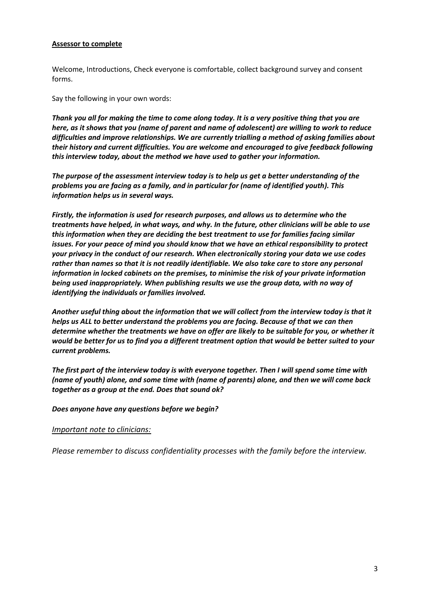#### **Assessor to complete**

Welcome, Introductions, Check everyone is comfortable, collect background survey and consent forms.

Say the following in your own words:

*Thank you all for making the time to come along today. It is a very positive thing that you are here, as it shows that you (name of parent and name of adolescent) are willing to work to reduce difficulties and improve relationships. We are currently trialling a method of asking families about their history and current difficulties. You are welcome and encouraged to give feedback following this interview today, about the method we have used to gather your information.*

*The purpose of the assessment interview today is to help us get a better understanding of the problems you are facing as a family, and in particular for (name of identified youth). This information helps us in several ways.*

*Firstly, the information is used for research purposes, and allows us to determine who the treatments have helped, in what ways, and why. In the future, other clinicians will be able to use this information when they are deciding the best treatment to use for families facing similar issues. For your peace of mind you should know that we have an ethical responsibility to protect your privacy in the conduct of our research. When electronically storing your data we use codes rather than names so that it is not readily identifiable. We also take care to store any personal information in locked cabinets on the premises, to minimise the risk of your private information being used inappropriately. When publishing results we use the group data, with no way of identifying the individuals or families involved.*

*Another useful thing about the information that we will collect from the interview today is that it helps us ALL to better understand the problems you are facing. Because of that we can then determine whether the treatments we have on offer are likely to be suitable for you, or whether it would be better for us to find you a different treatment option that would be better suited to your current problems.* 

*The first part of the interview today is with everyone together. Then I will spend some time with (name of youth) alone, and some time with (name of parents) alone, and then we will come back together as a group at the end. Does that sound ok?*

*Does anyone have any questions before we begin?*

#### *Important note to clinicians:*

*Please remember to discuss confidentiality processes with the family before the interview.*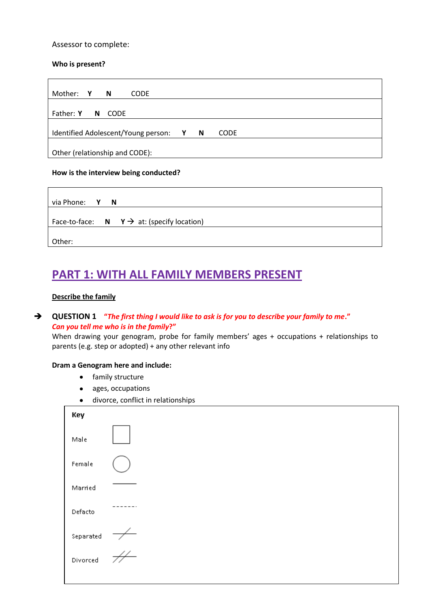#### Assessor to complete:

#### **Who is present?**

| Mother: Y N<br><b>CODE</b>                                                     |  |  |  |  |
|--------------------------------------------------------------------------------|--|--|--|--|
| Father: Y N CODE                                                               |  |  |  |  |
| Identified Adolescent/Young person:<br><b>N</b><br><b>CODE</b><br>$\mathbf{Y}$ |  |  |  |  |
| Other (relationship and CODE):                                                 |  |  |  |  |

#### **How is the interview being conducted?**

| via Phone: Y N                                       |
|------------------------------------------------------|
| Face-to-face: $N \rightarrow a$ : (specify location) |
| Other:                                               |

### **PART 1: WITH ALL FAMILY MEMBERS PRESENT**

#### **Describe the family**

#### **QUESTION 1 "***The first thing I would like to ask is for you to describe your family to me***."** *Can you tell me who is in the family***?"**

When drawing your genogram, probe for family members' ages + occupations + relationships to parents (e.g. step or adopted) + any other relevant info

#### **Dram a Genogram here and include:**

- family structure
- ages, occupations
- divorce, conflict in relationships

| Key           |  |
|---------------|--|
| Male          |  |
| Female        |  |
| Married       |  |
| Defacto       |  |
| Separated     |  |
| .<br>Divorced |  |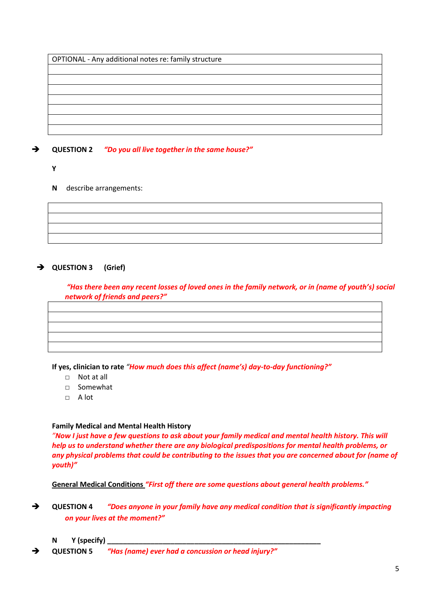OPTIONAL - Any additional notes re: family structure

**QUESTION 2** *"Do you all live together in the same house?"*

- **Y**
- **N** describe arrangements:

#### **QUESTION 3 (Grief)**

*"Has there been any recent losses of loved ones in the family network, or in (name of youth's) social network of friends and peers?"*

**If yes, clinician to rate** *"How much does this affect (name's) day-to-day functioning?"*

- □ Not at all
- □ Somewhat
- $\Box$  A lot

#### **Family Medical and Mental Health History**

*"Now I just have a few questions to ask about your family medical and mental health history. This will help us to understand whether there are any biological predispositions for mental health problems, or any physical problems that could be contributing to the issues that you are concerned about for (name of youth)"*

**General Medical Conditions** *"First off there are some questions about general health problems."*

- **QUESTION 4** *"Does anyone in your family have any medical condition that is significantly impacting on your lives at the moment?"*
	- **N** Y (specify)
- **QUESTION 5** *"Has (name) ever had a concussion or head injury?"*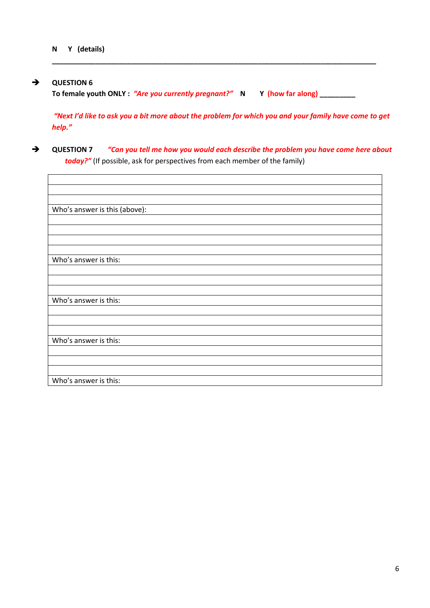#### **QUESTION 6**

**To female youth ONLY :** *"Are you currently pregnant?"* **N Y (how far along) \_\_\_\_\_\_\_\_\_**

**\_\_\_\_\_\_\_\_\_\_\_\_\_\_\_\_\_\_\_\_\_\_\_\_\_\_\_\_\_\_\_\_\_\_\_\_\_\_\_\_\_\_\_\_\_\_\_\_\_\_\_\_\_\_\_\_\_\_\_\_\_\_\_\_\_\_\_\_\_\_\_\_\_\_\_\_\_\_\_\_\_\_**

*"Next I'd like to ask you a bit more about the problem for which you and your family have come to get help."*

 **QUESTION 7** *"Can you tell me how you would each describe the problem you have come here about today?"* (If possible, ask for perspectives from each member of the family)

| Who's answer is this (above): |
|-------------------------------|
|                               |
|                               |
|                               |
|                               |
| Who's answer is this:         |
|                               |
|                               |
| Who's answer is this:         |
|                               |
|                               |
|                               |
| Who's answer is this:         |
|                               |
|                               |
|                               |
| Who's answer is this:         |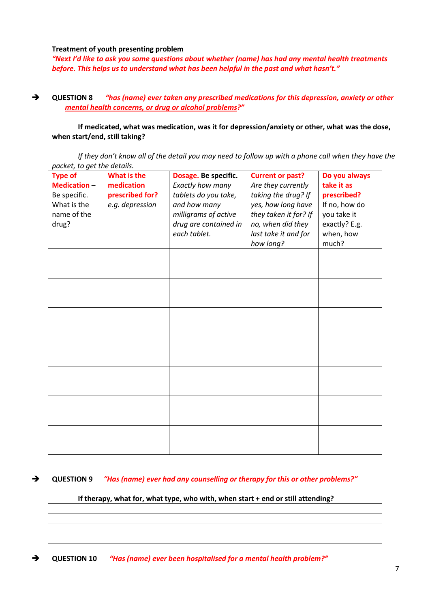**Treatment of youth presenting problem**

*"Next I'd like to ask you some questions about whether (name) has had any mental health treatments before. This helps us to understand what has been helpful in the past and what hasn't."*

 **QUESTION 8** *"has (name) ever taken any prescribed medications for this depression, anxiety or other mental health concerns, or drug or alcohol problems?"*

**If medicated, what was medication, was it for depression/anxiety or other, what was the dose, when start/end, still taking?** 

*If they don't know all of the detail you may need to follow up with a phone call when they have the packet, to get the details.*

| puchci, to you the uctums.<br><b>Type of</b><br>What is the<br>Do you always<br><b>Current or past?</b> |                               |                                                                  |                                            |                              |  |  |
|---------------------------------------------------------------------------------------------------------|-------------------------------|------------------------------------------------------------------|--------------------------------------------|------------------------------|--|--|
| <b>Medication -</b><br>Be specific.                                                                     | medication<br>prescribed for? | Dosage. Be specific.<br>Exactly how many<br>tablets do you take, | Are they currently<br>taking the drug? If  | take it as<br>prescribed?    |  |  |
| What is the                                                                                             | e.g. depression               | and how many                                                     | yes, how long have                         | If no, how do                |  |  |
| name of the<br>drug?                                                                                    |                               | milligrams of active<br>drug are contained in                    | they taken it for? If<br>no, when did they | you take it<br>exactly? E.g. |  |  |
|                                                                                                         |                               | each tablet.                                                     | last take it and for<br>how long?          | when, how<br>much?           |  |  |
|                                                                                                         |                               |                                                                  |                                            |                              |  |  |
|                                                                                                         |                               |                                                                  |                                            |                              |  |  |
|                                                                                                         |                               |                                                                  |                                            |                              |  |  |
|                                                                                                         |                               |                                                                  |                                            |                              |  |  |
|                                                                                                         |                               |                                                                  |                                            |                              |  |  |
|                                                                                                         |                               |                                                                  |                                            |                              |  |  |
|                                                                                                         |                               |                                                                  |                                            |                              |  |  |
|                                                                                                         |                               |                                                                  |                                            |                              |  |  |
|                                                                                                         |                               |                                                                  |                                            |                              |  |  |
|                                                                                                         |                               |                                                                  |                                            |                              |  |  |
|                                                                                                         |                               |                                                                  |                                            |                              |  |  |
|                                                                                                         |                               |                                                                  |                                            |                              |  |  |
|                                                                                                         |                               |                                                                  |                                            |                              |  |  |
|                                                                                                         |                               |                                                                  |                                            |                              |  |  |

#### **QUESTION 9** *"Has (name) ever had any counselling or therapy for this or other problems?"*

#### **If therapy, what for, what type, who with, when start + end or still attending?**

**QUESTION 10** *"Has (name) ever been hospitalised for a mental health problem?"*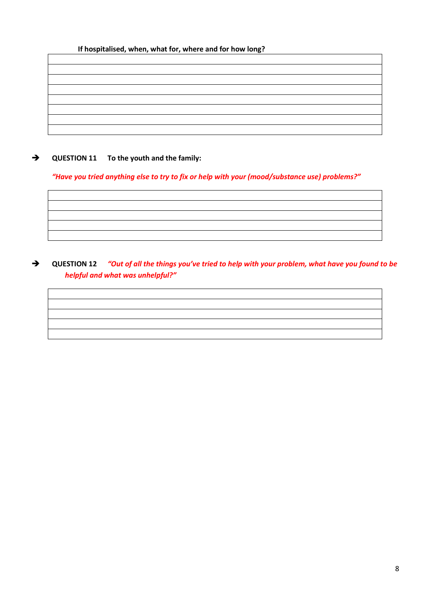#### **If hospitalised, when, what for, where and for how long?**

#### $\rightarrow$  QUESTION 11 To the youth and the family:

#### *"Have you tried anything else to try to fix or help with your (mood/substance use) problems?"*

#### **QUESTION 12** *"Out of all the things you've tried to help with your problem, what have you found to be helpful and what was unhelpful?"*

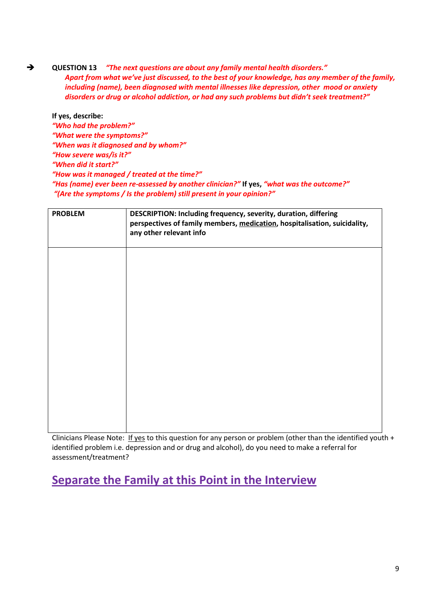**QUESTION 13** *"The next questions are about any family mental health disorders." Apart from what we've just discussed, to the best of your knowledge, has any member of the family, including (name), been diagnosed with mental illnesses like depression, other mood or anxiety disorders or drug or alcohol addiction, or had any such problems but didn't seek treatment?"*

**If yes, describe:**  *"Who had the problem?" "What were the symptoms?" "When was it diagnosed and by whom?" "How severe was/is it?" "When did it start?" "How was it managed / treated at the time?" "Has (name) ever been re-assessed by another clinician?"* **If yes,** *"what was the outcome?" "(Are the symptoms / Is the problem) still present in your opinion?"* 

| <b>PROBLEM</b> | DESCRIPTION: Including frequency, severity, duration, differing<br>perspectives of family members, medication, hospitalisation, suicidality,<br>any other relevant info |  |  |
|----------------|-------------------------------------------------------------------------------------------------------------------------------------------------------------------------|--|--|
|                |                                                                                                                                                                         |  |  |
|                |                                                                                                                                                                         |  |  |
|                |                                                                                                                                                                         |  |  |
|                |                                                                                                                                                                         |  |  |
|                |                                                                                                                                                                         |  |  |

Clinicians Please Note: If yes to this question for any person or problem (other than the identified youth + identified problem i.e. depression and or drug and alcohol), do you need to make a referral for assessment/treatment?

**Separate the Family at this Point in the Interview**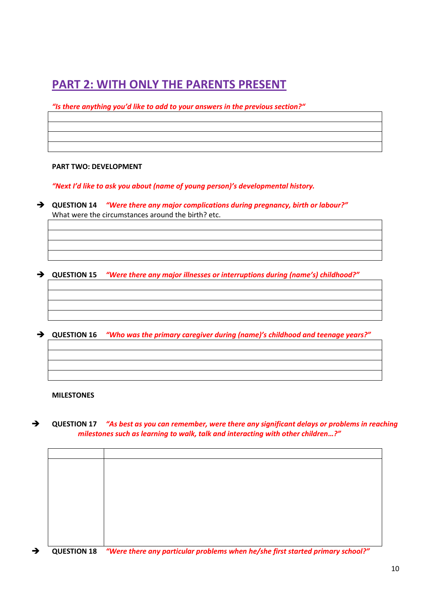## **PART 2: WITH ONLY THE PARENTS PRESENT**

*"Is there anything you'd like to add to your answers in the previous section?"*

#### **PART TWO: DEVELOPMENT**

*"Next I'd like to ask you about (name of young person)'s developmental history.*

 **QUESTION 14** *"Were there any major complications during pregnancy, birth or labour?"* What were the circumstances around the birth? etc.

**QUESTION 15** *"Were there any major illnesses or interruptions during (name's) childhood?"*

**QUESTION 16** *"Who was the primary caregiver during (name)'s childhood and teenage years?"*

#### **MILESTONES**

 **QUESTION 17** *"As best as you can remember, were there any significant delays or problems in reaching milestones such as learning to walk, talk and interacting with other children…?"*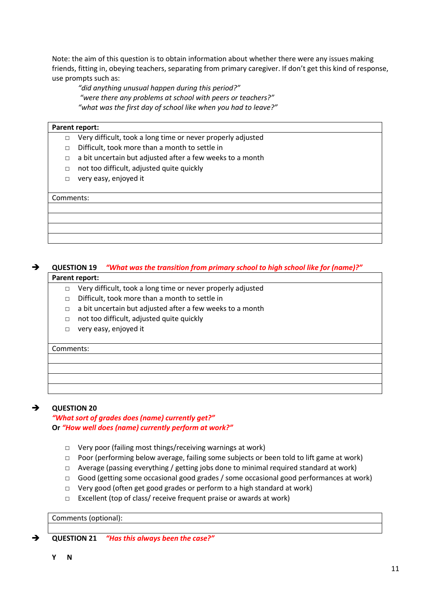Note: the aim of this question is to obtain information about whether there were any issues making friends, fitting in, obeying teachers, separating from primary caregiver. If don't get this kind of response, use prompts such as:

*"did anything unusual happen during this period?" "were there any problems at school with peers or teachers?" "what was the first day of school like when you had to leave?"*

#### **Parent report:**

- □ Very difficult, took a long time or never properly adjusted
- □ Difficult, took more than a month to settle in
- $\Box$  a bit uncertain but adjusted after a few weeks to a month
- □ not too difficult, adjusted quite quickly
- □ very easy, enjoyed it

#### Comments:

#### **QUESTION 19** *"What was the transition from primary school to high school like for (name)?"* **Parent report:**

- - □ Very difficult, took a long time or never properly adjusted
	- □ Difficult, took more than a month to settle in
	- □ a bit uncertain but adjusted after a few weeks to a month
	- □ not too difficult, adjusted quite quickly
	- □ very easy, enjoyed it

#### Comments:

#### **QUESTION 20**

*"What sort of grades does (name) currently get?"*  **Or** *"How well does (name) currently perform at work?"*

- □ Very poor (failing most things/receiving warnings at work)
- $\Box$  Poor (performing below average, failing some subjects or been told to lift game at work)
- $\Box$  Average (passing everything / getting jobs done to minimal required standard at work)
- $\Box$  Good (getting some occasional good grades / some occasional good performances at work)
- □ Very good (often get good grades or perform to a high standard at work)
- □ Excellent (top of class/ receive frequent praise or awards at work)

#### Comments (optional):

**QUESTION 21** *"Has this always been the case?"*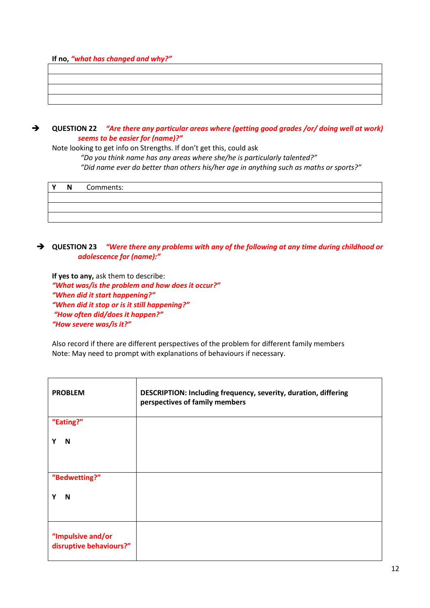**If no,** *"what has changed and why?"*

 **QUESTION 22** *"Are there any particular areas where (getting good grades /or/ doing well at work) seems to be easier for (name)?"*

Note looking to get info on Strengths. If don't get this, could ask

*"Do you think name has any areas where she/he is particularly talented?"* 

*"Did name ever do better than others his/her age in anything such as maths or sports?"*

| $\mathbf{v}$ | N | Comments: |
|--------------|---|-----------|
|              |   |           |
|              |   |           |
|              |   |           |

#### **QUESTION 23** *"Were there any problems with any of the following at any time during childhood or adolescence for (name):"*

**If yes to any,** ask them to describe: *"What was/is the problem and how does it occur?" "When did it start happening?" "When did it stop or is it still happening?" "How often did/does it happen?" "How severe was/is it?"*

Also record if there are different perspectives of the problem for different family members Note: May need to prompt with explanations of behaviours if necessary.

| <b>PROBLEM</b>                               | DESCRIPTION: Including frequency, severity, duration, differing<br>perspectives of family members |
|----------------------------------------------|---------------------------------------------------------------------------------------------------|
| "Eating?"                                    |                                                                                                   |
| N<br>Υ                                       |                                                                                                   |
| "Bedwetting?"                                |                                                                                                   |
| Υ<br>N                                       |                                                                                                   |
| "Impulsive and/or<br>disruptive behaviours?" |                                                                                                   |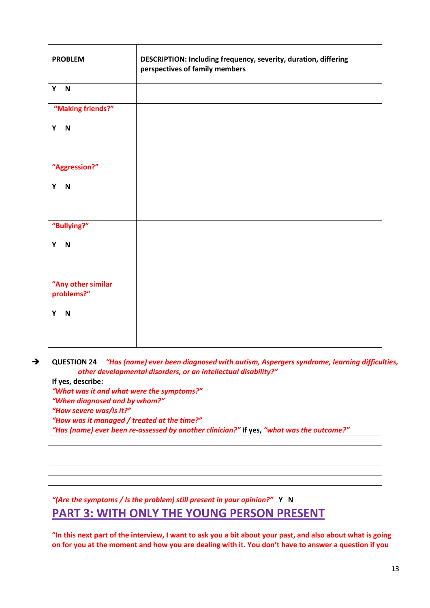| <b>PROBLEM</b>                   | DESCRIPTION: Including frequency, severity, duration, differing<br>perspectives of family members |  |  |
|----------------------------------|---------------------------------------------------------------------------------------------------|--|--|
| Y<br>N                           |                                                                                                   |  |  |
| "Making friends?"                |                                                                                                   |  |  |
| $\overline{N}$<br>Y              |                                                                                                   |  |  |
| "Aggression?"                    |                                                                                                   |  |  |
| Y N                              |                                                                                                   |  |  |
| "Bullying?"                      |                                                                                                   |  |  |
| $\overline{\mathsf{N}}$<br>Y     |                                                                                                   |  |  |
| "Any other similar<br>problems?" |                                                                                                   |  |  |
| Y<br>$\blacksquare$              |                                                                                                   |  |  |

 **QUESTION 24** *"Has (name) ever been diagnosed with autism, Aspergers syndrome, learning difficulties, other developmental disorders, or an intellectual disability?"*

**If yes, describe:**  *"What was it and what were the symptoms?" "When diagnosed and by whom?" "How severe was/is it?" "How was it managed / treated at the time?" "Has (name) ever been re-assessed by another clinician?"* **If yes,** *"what was the outcome?"*

*"(Are the symptoms / Is the problem) still present in your opinion?"* **Y N PART 3: WITH ONLY THE YOUNG PERSON PRESENT**

**"In this next part of the interview, I want to ask you a bit about your past, and also about what is going on for you at the moment and how you are dealing with it. You don't have to answer a question if you**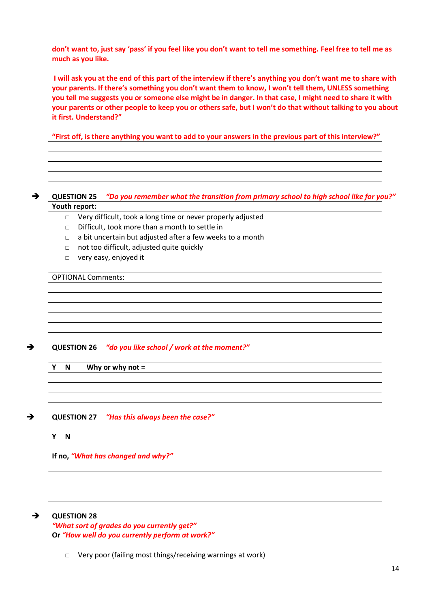**don't want to, just say 'pass' if you feel like you don't want to tell me something. Feel free to tell me as much as you like.**

**I will ask you at the end of this part of the interview if there's anything you don't want me to share with your parents. If there's something you don't want them to know, I won't tell them, UNLESS something you tell me suggests you or someone else might be in danger. In that case, I might need to share it with your parents or other people to keep you or others safe, but I won't do that without talking to you about it first. Understand?"**

**"First off, is there anything you want to add to your answers in the previous part of this interview?"**

#### **QUESTION 25** *"Do you remember what the transition from primary school to high school like for you?"* **Youth report:**

- □ Very difficult, took a long time or never properly adjusted
- □ Difficult, took more than a month to settle in
- $\Box$  a bit uncertain but adjusted after a few weeks to a month
- □ not too difficult, adjusted quite quickly
- □ very easy, enjoyed it

OPTIONAL Comments:

#### **QUESTION 26** *"do you like school / work at the moment?"*

**Y N Why or why not =** 

#### **QUESTION 27** *"Has this always been the case?"*

#### **Y N**

#### **If no,** *"What has changed and why?"*

#### **QUESTION 28**

*"What sort of grades do you currently get?"*  **Or** *"How well do you currently perform at work?"*

□ Very poor (failing most things/receiving warnings at work)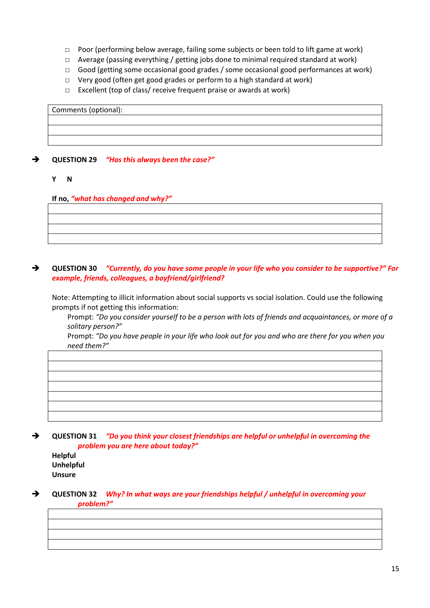- □ Poor (performing below average, failing some subjects or been told to lift game at work)
- $\Box$  Average (passing everything / getting jobs done to minimal required standard at work)
- □ Good (getting some occasional good grades / some occasional good performances at work)
- □ Very good (often get good grades or perform to a high standard at work)
- □ Excellent (top of class/ receive frequent praise or awards at work)

# Comments (optional):

#### **QUESTION 29** *"Has this always been the case?"*

**Y N**

#### **If no,** *"what has changed and why?"*

#### **QUESTION 30** *"Currently, do you have some people in your life who you consider to be supportive?" For example, friends, colleagues, a boyfriend/girlfriend?*

Note: Attempting to illicit information about social supports vs social isolation. Could use the following prompts if not getting this information:

Prompt: *"Do you consider yourself to be a person with lots of friends and acquaintances, or more of a solitary person?"*

Prompt: *"Do you have people in your life who look out for you and who are there for you when you need them?"*

| <u> 1988 - Ann an Dùbhlachd ann an Dùbhlachd ann an Dùbhlachd ann an Dùbhlachd ann an Dùbhlachd ann an Dùbhlachd a</u> |  |  |
|------------------------------------------------------------------------------------------------------------------------|--|--|
|                                                                                                                        |  |  |
|                                                                                                                        |  |  |
|                                                                                                                        |  |  |
| <u> La componente de la componenta de la componenta de la componenta de la componenta de la componenta de la compo</u> |  |  |
|                                                                                                                        |  |  |
|                                                                                                                        |  |  |
|                                                                                                                        |  |  |

 **QUESTION 31** *"Do you think your closest friendships are helpful or unhelpful in overcoming the problem you are here about today?"*

**Helpful Unhelpful Unsure**

 **QUESTION 32** *Why? In what ways are your friendships helpful / unhelpful in overcoming your problem?"*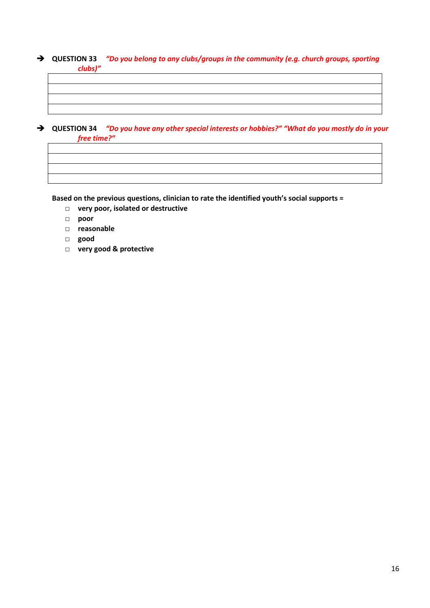#### **QUESTION 33** *"Do you belong to any clubs/groups in the community (e.g. church groups, sporting clubs)"*

| $\rightarrow$ | QUESTION 34 "Do you have any other special interests or hobbies?" "What do you mostly do in your |
|---------------|--------------------------------------------------------------------------------------------------|

*free time?"*

**Based on the previous questions, clinician to rate the identified youth's social supports =** 

- □ **very poor, isolated or destructive**
- □ **poor**
- □ **reasonable**
- □ **good**
- □ **very good & protective**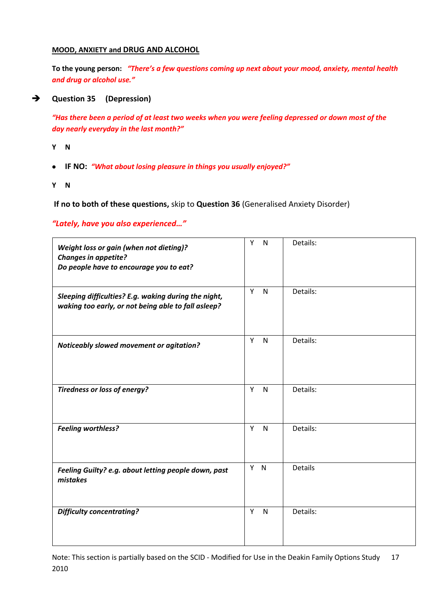#### **MOOD, ANXIETY and DRUG AND ALCOHOL**

**To the young person:** *"There's a few questions coming up next about your mood, anxiety, mental health and drug or alcohol use."*

#### **Question 35 (Depression)**

*"Has there been a period of at least two weeks when you were feeling depressed or down most of the day nearly everyday in the last month?"* 

- **Y N**
- **IF NO:** *"What about losing pleasure in things you usually enjoyed?"*
- **Y N**

**If no to both of these questions,** skip to **Question 36** (Generalised Anxiety Disorder)

#### *"Lately, have you also experienced…"*

| Weight loss or gain (when not dieting)?<br><b>Changes in appetite?</b><br>Do people have to encourage you to eat? | Y<br>$\mathsf{N}$ | Details:       |
|-------------------------------------------------------------------------------------------------------------------|-------------------|----------------|
| Sleeping difficulties? E.g. waking during the night,<br>waking too early, or not being able to fall asleep?       | Y<br>$\mathsf{N}$ | Details:       |
| Noticeably slowed movement or agitation?                                                                          | Y<br>$\mathsf{N}$ | Details:       |
| <b>Tiredness or loss of energy?</b>                                                                               | Y<br>$\mathsf{N}$ | Details:       |
| <b>Feeling worthless?</b>                                                                                         | Y<br>$\mathsf{N}$ | Details:       |
| Feeling Guilty? e.g. about letting people down, past<br>mistakes                                                  | Y<br>N            | <b>Details</b> |
| <b>Difficulty concentrating?</b>                                                                                  | Y<br>$\mathsf{N}$ | Details:       |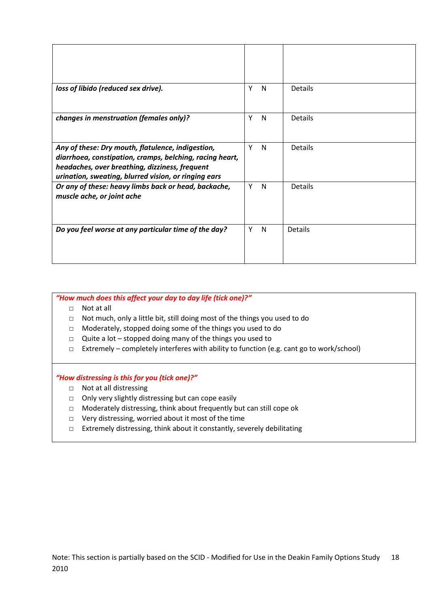| loss of libido (reduced sex drive).                                                                                                                                                                                     | Υ | <sub>N</sub> | Details        |
|-------------------------------------------------------------------------------------------------------------------------------------------------------------------------------------------------------------------------|---|--------------|----------------|
|                                                                                                                                                                                                                         |   |              |                |
| changes in menstruation (females only)?                                                                                                                                                                                 | Υ | N            | <b>Details</b> |
| Any of these: Dry mouth, flatulence, indigestion,<br>diarrhoea, constipation, cramps, belching, racing heart,<br>headaches, over breathing, dizziness, frequent<br>urination, sweating, blurred vision, or ringing ears | Y | N            | <b>Details</b> |
| Or any of these: heavy limbs back or head, backache,<br>muscle ache, or joint ache                                                                                                                                      | Υ | N            | <b>Details</b> |
| Do you feel worse at any particular time of the day?                                                                                                                                                                    | Υ | N            | <b>Details</b> |

*"How much does this affect your day to day life (tick one)?"*

- □ Not at all
- □ Not much, only a little bit, still doing most of the things you used to do
- □ Moderately, stopped doing some of the things you used to do
- □ Quite a lot stopped doing many of the things you used to
- □ Extremely completely interferes with ability to function (e.g. cant go to work/school)

#### *"How distressing is this for you (tick one)?"*

- □ Not at all distressing
- □ Only very slightly distressing but can cope easily
- □ Moderately distressing, think about frequently but can still cope ok
- □ Very distressing, worried about it most of the time
- □ Extremely distressing, think about it constantly, severely debilitating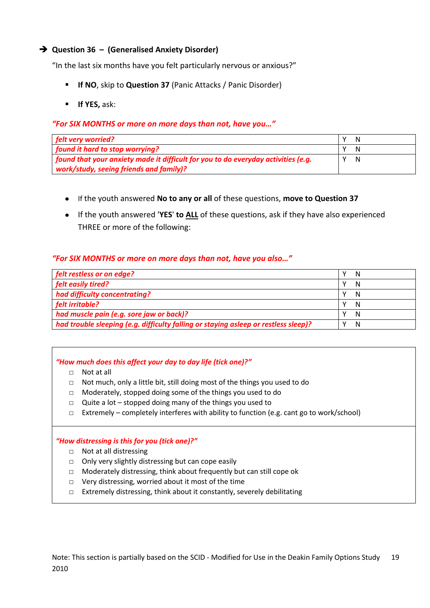#### **Question 36 – (Generalised Anxiety Disorder)**

"In the last six months have you felt particularly nervous or anxious?"

- **If NO**, skip to **Question 37** (Panic Attacks / Panic Disorder)
- **If YES,** ask:

#### *"For SIX MONTHS or more on more days than not, have you…"*

| felt very worried?                                                                |   |
|-----------------------------------------------------------------------------------|---|
| found it hard to stop worrying?                                                   |   |
| found that your anxiety made it difficult for you to do everyday activities (e.g. | N |
| work/study, seeing friends and family)?                                           |   |

- If the youth answered **No to any or all** of these questions, **move to Question 37**
- If the youth answered '**YES**' **to ALL** of these questions, ask if they have also experienced THREE or more of the following:

#### *"For SIX MONTHS or more on more days than not, have you also…"*

| felt restless or on edge?                                                           | N |
|-------------------------------------------------------------------------------------|---|
| felt easily tired?                                                                  | N |
| had difficulty concentrating?                                                       | N |
| felt irritable?                                                                     | N |
| had muscle pain (e.g. sore jaw or back)?                                            | N |
| had trouble sleeping (e.g. difficulty falling or staying asleep or restless sleep)? | N |

#### *"How much does this affect your day to day life (tick one)?"*

- □ Not at all
- □ Not much, only a little bit, still doing most of the things you used to do
- □ Moderately, stopped doing some of the things you used to do
- $\Box$  Quite a lot stopped doing many of the things you used to
- $\Box$  Extremely completely interferes with ability to function (e.g. cant go to work/school)

#### *"How distressing is this for you (tick one)?"*

- □ Not at all distressing
- □ Only very slightly distressing but can cope easily
- □ Moderately distressing, think about frequently but can still cope ok
- □ Very distressing, worried about it most of the time
- □ Extremely distressing, think about it constantly, severely debilitating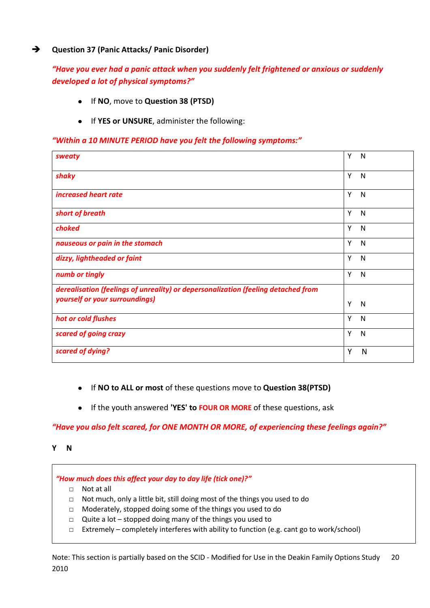#### **Question 37 (Panic Attacks/ Panic Disorder)**

#### *"Have you ever had a panic attack when you suddenly felt frightened or anxious or suddenly developed a lot of physical symptoms?"*

- If **NO**, move to **Question 38 (PTSD)**
- If **YES or UNSURE**, administer the following:

#### *"Within a 10 MINUTE PERIOD have you felt the following symptoms:"*

| sweaty                                                                            | Y<br>N            |
|-----------------------------------------------------------------------------------|-------------------|
| shaky                                                                             | Y<br>N            |
| increased heart rate                                                              | Y<br>N            |
| short of breath                                                                   | Y<br>N            |
| choked                                                                            | Y<br>N            |
| nauseous or pain in the stomach                                                   | Y<br>N            |
| dizzy, lightheaded or faint                                                       | Υ<br>N            |
| numb or tingly                                                                    | Y<br>N            |
| derealisation (feelings of unreality) or depersonalization (feeling detached from |                   |
| yourself or your surroundings)                                                    | Y<br>N            |
| hot or cold flushes                                                               | Y<br>$\mathsf{N}$ |
| scared of going crazy                                                             | Υ<br>N            |
| scared of dying?                                                                  | Υ<br>N            |

- If **NO to ALL or most** of these questions move to **Question 38(PTSD)**
- If the youth answered **'YES' to FOUR OR MORE** of these questions, ask

#### *"Have you also felt scared, for ONE MONTH OR MORE, of experiencing these feelings again?"*

**Y N**

*"How much does this affect your day to day life (tick one)?"*

- □ Not at all
- □ Not much, only a little bit, still doing most of the things you used to do
- □ Moderately, stopped doing some of the things you used to do
- □ Quite a lot stopped doing many of the things you used to
- $\Box$  Extremely completely interferes with ability to function (e.g. cant go to work/school)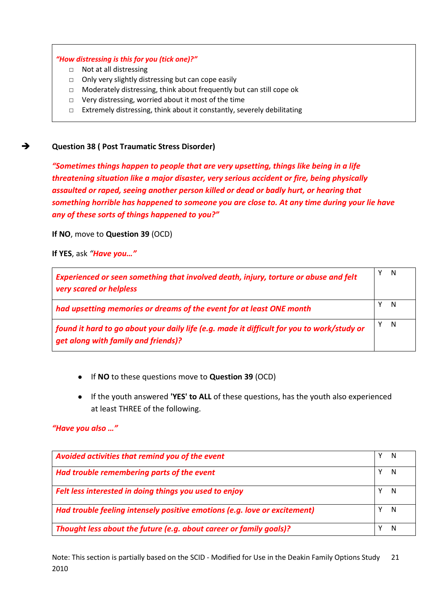#### *"How distressing is this for you (tick one)?"*

- □ Not at all distressing
- □ Only very slightly distressing but can cope easily
- □ Moderately distressing, think about frequently but can still cope ok
- □ Very distressing, worried about it most of the time
- □ Extremely distressing, think about it constantly, severely debilitating

#### **Question 38 ( Post Traumatic Stress Disorder)**

*"Sometimes things happen to people that are very upsetting, things like being in a life threatening situation like a major disaster, very serious accident or fire, being physically assaulted or raped, seeing another person killed or dead or badly hurt, or hearing that something horrible has happened to someone you are close to. At any time during your lie have any of these sorts of things happened to you?"*

**If NO**, move to **Question 39** (OCD)

**If YES**, ask *"Have you…"*

| Experienced or seen something that involved death, injury, torture or abuse and felt<br>very scared or helpless                   | N   |
|-----------------------------------------------------------------------------------------------------------------------------------|-----|
| had upsetting memories or dreams of the event for at least ONE month                                                              | -N  |
| found it hard to go about your daily life (e.g. made it difficult for you to work/study or<br>get along with family and friends)? | - N |

- If **NO** to these questions move to **Question 39** (OCD)
- If the youth answered **'YES' to ALL** of these questions, has the youth also experienced at least THREE of the following.

#### *"Have you also …"*

| Avoided activities that remind you of the event                           |   |
|---------------------------------------------------------------------------|---|
| Had trouble remembering parts of the event                                |   |
| Felt less interested in doing things you used to enjoy                    |   |
| Had trouble feeling intensely positive emotions (e.g. love or excitement) | N |
| Thought less about the future (e.g. about career or family goals)?        | N |

Note: This section is partially based on the SCID - Modified for Use in the Deakin Family Options Study 2010 21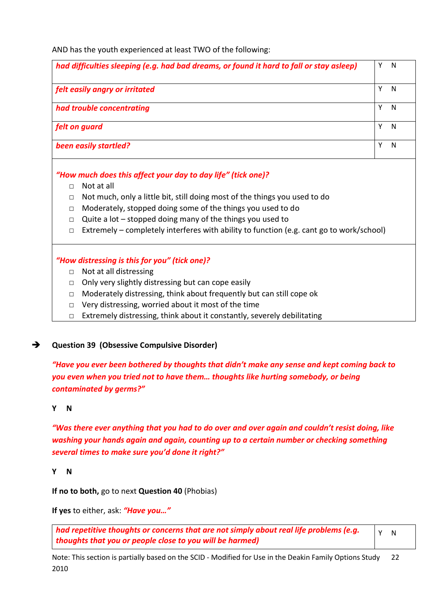AND has the youth experienced at least TWO of the following:

| had difficulties sleeping (e.g. had bad dreams, or found it hard to fall or stay asleep) | N |
|------------------------------------------------------------------------------------------|---|
| felt easily angry or irritated                                                           | N |
| had trouble concentrating                                                                | N |
| felt on guard                                                                            | N |
| been easily startled?                                                                    | N |

*"How much does this affect your day to day life" (tick one)?*

- □ Not at all
- □ Not much, only a little bit, still doing most of the things you used to do
- □ Moderately, stopped doing some of the things you used to do
- $\Box$  Quite a lot stopped doing many of the things you used to
- $\Box$  Extremely completely interferes with ability to function (e.g. cant go to work/school)

#### *"How distressing is this for you" (tick one)?*

- □ Not at all distressing
- $\Box$  Only very slightly distressing but can cope easily
- □ Moderately distressing, think about frequently but can still cope ok
- $\Box$  Very distressing, worried about it most of the time
- □ Extremely distressing, think about it constantly, severely debilitating

#### **Question 39 (Obsessive Compulsive Disorder)**

*"Have you ever been bothered by thoughts that didn't make any sense and kept coming back to you even when you tried not to have them… thoughts like hurting somebody, or being contaminated by germs?"*

#### **Y N**

*"Was there ever anything that you had to do over and over again and couldn't resist doing, like washing your hands again and again, counting up to a certain number or checking something several times to make sure you'd done it right?"*

**Y N**

**If no to both,** go to next **Question 40** (Phobias)

**If yes** to either, ask: *"Have you…"*

*had repetitive thoughts or concerns that are not simply about real life problems (e.g. thoughts that you or people close to you will be harmed)*  Y N

Note: This section is partially based on the SCID - Modified for Use in the Deakin Family Options Study 2010 22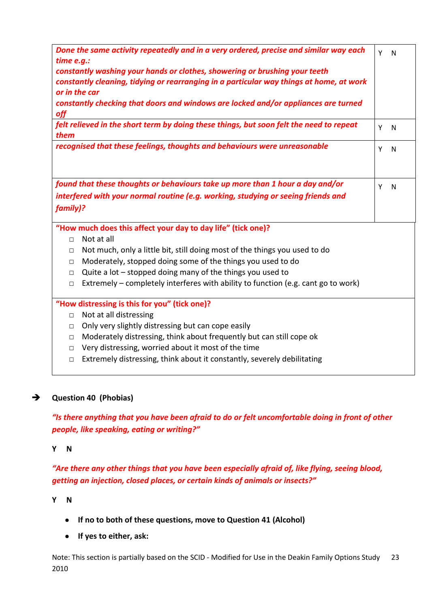| time e.g.:<br>off                                                                                                                                                              | Done the same activity repeatedly and in a very ordered, precise and similar way each<br>constantly washing your hands or clothes, showering or brushing your teeth<br>constantly cleaning, tidying or rearranging in a particular way things at home, at work<br>or in the car<br>constantly checking that doors and windows are locked and/or appliances are turned | Y N |   |  |
|--------------------------------------------------------------------------------------------------------------------------------------------------------------------------------|-----------------------------------------------------------------------------------------------------------------------------------------------------------------------------------------------------------------------------------------------------------------------------------------------------------------------------------------------------------------------|-----|---|--|
| them                                                                                                                                                                           | felt relieved in the short term by doing these things, but soon felt the need to repeat                                                                                                                                                                                                                                                                               | Y   | N |  |
|                                                                                                                                                                                | recognised that these feelings, thoughts and behaviours were unreasonable                                                                                                                                                                                                                                                                                             | Y   | N |  |
| found that these thoughts or behaviours take up more than 1 hour a day and/or<br>interfered with your normal routine (e.g. working, studying or seeing friends and<br>family)? |                                                                                                                                                                                                                                                                                                                                                                       |     |   |  |
|                                                                                                                                                                                | "How much does this affect your day to day life" (tick one)?                                                                                                                                                                                                                                                                                                          |     |   |  |
| $\Box$                                                                                                                                                                         | Not at all                                                                                                                                                                                                                                                                                                                                                            |     |   |  |
| $\Box$                                                                                                                                                                         | Not much, only a little bit, still doing most of the things you used to do                                                                                                                                                                                                                                                                                            |     |   |  |
| $\Box$                                                                                                                                                                         | Moderately, stopped doing some of the things you used to do                                                                                                                                                                                                                                                                                                           |     |   |  |
| $\Box$                                                                                                                                                                         | Quite a lot $-$ stopped doing many of the things you used to                                                                                                                                                                                                                                                                                                          |     |   |  |
| $\Box$                                                                                                                                                                         | Extremely – completely interferes with ability to function (e.g. cant go to work)                                                                                                                                                                                                                                                                                     |     |   |  |
|                                                                                                                                                                                | "How distressing is this for you" (tick one)?                                                                                                                                                                                                                                                                                                                         |     |   |  |
| $\Box$                                                                                                                                                                         | Not at all distressing                                                                                                                                                                                                                                                                                                                                                |     |   |  |
| $\Box$                                                                                                                                                                         | Only very slightly distressing but can cope easily                                                                                                                                                                                                                                                                                                                    |     |   |  |
| $\Box$                                                                                                                                                                         | Moderately distressing, think about frequently but can still cope ok                                                                                                                                                                                                                                                                                                  |     |   |  |
| $\Box$                                                                                                                                                                         | Very distressing, worried about it most of the time                                                                                                                                                                                                                                                                                                                   |     |   |  |
| $\Box$                                                                                                                                                                         | Extremely distressing, think about it constantly, severely debilitating                                                                                                                                                                                                                                                                                               |     |   |  |

#### **Question 40 (Phobias)**

*"Is there anything that you have been afraid to do or felt uncomfortable doing in front of other people, like speaking, eating or writing?"*

**Y N**

*"Are there any other things that you have been especially afraid of, like flying, seeing blood, getting an injection, closed places, or certain kinds of animals or insects?"*

**Y N**

- **If no to both of these questions, move to Question 41 (Alcohol)**
- **If yes to either, ask:**

Note: This section is partially based on the SCID - Modified for Use in the Deakin Family Options Study 2010 23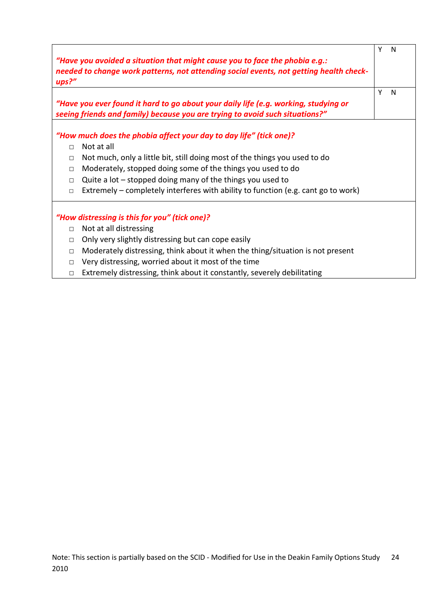| "Have you avoided a situation that might cause you to face the phobia $e.g.:$<br>needed to change work patterns, not attending social events, not getting health check-<br>ups?'' |                                                                                                                                                                     |   |   |  |
|-----------------------------------------------------------------------------------------------------------------------------------------------------------------------------------|---------------------------------------------------------------------------------------------------------------------------------------------------------------------|---|---|--|
|                                                                                                                                                                                   | "Have you ever found it hard to go about your daily life (e.g. working, studying or<br>seeing friends and family) because you are trying to avoid such situations?" | Υ | N |  |
|                                                                                                                                                                                   | "How much does the phobia affect your day to day life" (tick one)?                                                                                                  |   |   |  |
| $\Box$                                                                                                                                                                            | Not at all                                                                                                                                                          |   |   |  |
| $\Box$                                                                                                                                                                            | Not much, only a little bit, still doing most of the things you used to do                                                                                          |   |   |  |
| Moderately, stopped doing some of the things you used to do<br>$\Box$                                                                                                             |                                                                                                                                                                     |   |   |  |
| $\Box$                                                                                                                                                                            | Quite a lot $-$ stopped doing many of the things you used to                                                                                                        |   |   |  |
| $\Box$                                                                                                                                                                            | Extremely – completely interferes with ability to function (e.g. cant go to work)                                                                                   |   |   |  |
|                                                                                                                                                                                   | "How distressing is this for you" (tick one)?                                                                                                                       |   |   |  |
| $\Box$                                                                                                                                                                            | Not at all distressing                                                                                                                                              |   |   |  |
| $\Box$                                                                                                                                                                            | Only very slightly distressing but can cope easily                                                                                                                  |   |   |  |
| $\Box$                                                                                                                                                                            | Moderately distressing, think about it when the thing/situation is not present                                                                                      |   |   |  |
| $\Box$                                                                                                                                                                            | Very distressing, worried about it most of the time                                                                                                                 |   |   |  |
| П                                                                                                                                                                                 | Extremely distressing, think about it constantly, severely debilitating                                                                                             |   |   |  |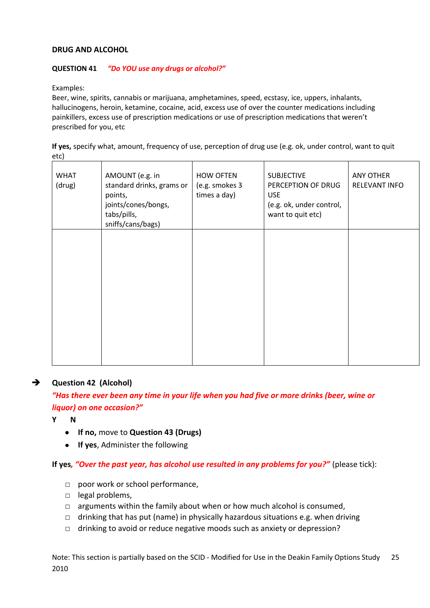#### **DRUG AND ALCOHOL**

#### **QUESTION 41** *"Do YOU use any drugs or alcohol?"*

Examples:

Beer, wine, spirits, cannabis or marijuana, amphetamines, speed, ecstasy, ice, uppers, inhalants, hallucinogens, heroin, ketamine, cocaine, acid, excess use of over the counter medications including painkillers, excess use of prescription medications or use of prescription medications that weren't prescribed for you, etc

**If yes,** specify what, amount, frequency of use, perception of drug use (e.g. ok, under control, want to quit etc)

| <b>WHAT</b><br>(drug) | AMOUNT (e.g. in<br>standard drinks, grams or<br>points,<br>joints/cones/bongs,<br>tabs/pills,<br>sniffs/cans/bags) | <b>HOW OFTEN</b><br>(e.g. smokes 3<br>times a day) | <b>SUBJECTIVE</b><br>PERCEPTION OF DRUG<br><b>USE</b><br>(e.g. ok, under control,<br>want to quit etc) | ANY OTHER<br><b>RELEVANT INFO</b> |
|-----------------------|--------------------------------------------------------------------------------------------------------------------|----------------------------------------------------|--------------------------------------------------------------------------------------------------------|-----------------------------------|
|                       |                                                                                                                    |                                                    |                                                                                                        |                                   |
|                       |                                                                                                                    |                                                    |                                                                                                        |                                   |

#### **Question 42 (Alcohol)**

*"Has there ever been any time in your life when you had five or more drinks (beer, wine or liquor) on one occasion?"*

- **Y N**
	- **If no,** move to **Question 43 (Drugs)**
	- **If yes**, Administer the following

**If yes***, "Over the past year, has alcohol use resulted in any problems for you?"* (please tick):

- □ poor work or school performance,
- □ legal problems,
- $\Box$  arguments within the family about when or how much alcohol is consumed,
- $\Box$  drinking that has put (name) in physically hazardous situations e.g. when driving
- □ drinking to avoid or reduce negative moods such as anxiety or depression?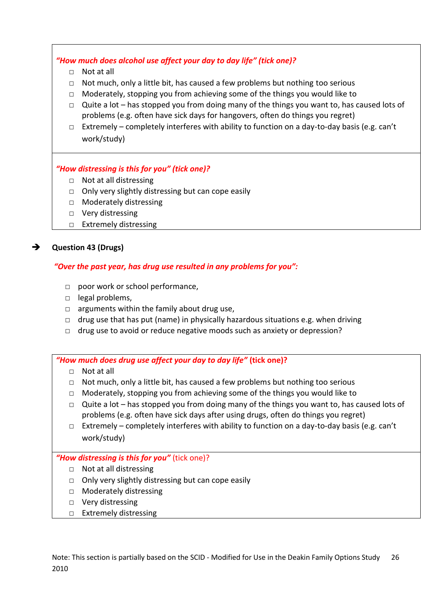*"How much does alcohol use affect your day to day life" (tick one)?*

- □ Not at all
- □ Not much, only a little bit, has caused a few problems but nothing too serious
- $\Box$  Moderately, stopping you from achieving some of the things you would like to
- $\Box$  Quite a lot has stopped you from doing many of the things you want to, has caused lots of problems (e.g. often have sick days for hangovers, often do things you regret)
- $\Box$  Extremely completely interferes with ability to function on a day-to-day basis (e.g. can't work/study)

#### *"How distressing is this for you" (tick one)?*

- □ Not at all distressing
- $\Box$  Only very slightly distressing but can cope easily
- □ Moderately distressing
- □ Very distressing
- □ Extremely distressing

#### **Question 43 (Drugs)**

#### *"Over the past year, has drug use resulted in any problems for you":*

- □ poor work or school performance,
- □ legal problems,
- $\Box$  arguments within the family about drug use,
- $\Box$  drug use that has put (name) in physically hazardous situations e.g. when driving
- □ drug use to avoid or reduce negative moods such as anxiety or depression?

#### *"How much does drug use affect your day to day life"* **(tick one)?**

- $\neg$  Not at all
- □ Not much, only a little bit, has caused a few problems but nothing too serious
- $\Box$  Moderately, stopping you from achieving some of the things you would like to
- $\Box$  Quite a lot has stopped you from doing many of the things you want to, has caused lots of problems (e.g. often have sick days after using drugs, often do things you regret)
- □ Extremely completely interferes with ability to function on a day-to-day basis (e.g. can't work/study)

#### *"How distressing is this for you"* (tick one)?

- □ Not at all distressing
- $\Box$  Only very slightly distressing but can cope easily
- □ Moderately distressing
- □ Very distressing
- □ Extremely distressing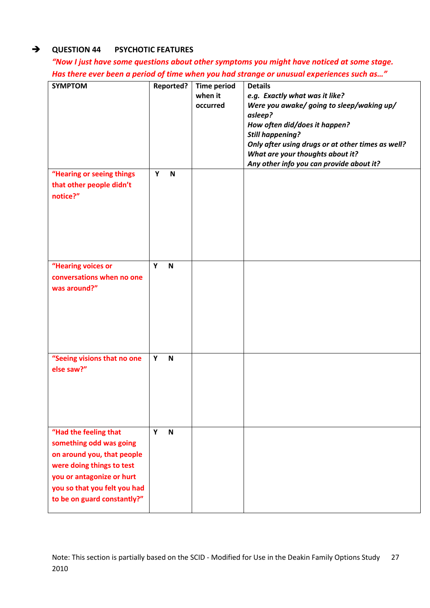#### **QUESTION 44 PSYCHOTIC FEATURES**

*"Now I just have some questions about other symptoms you might have noticed at some stage. Has there ever been a period of time when you had strange or unusual experiences such as…"*

| <b>SYMPTOM</b>                                                                                                                                                                                          | <b>Reported?</b> | <b>Time period</b><br>when it<br>occurred | <b>Details</b><br>e.g. Exactly what was it like?<br>Were you awake/ going to sleep/waking up/<br>asleep?<br>How often did/does it happen?<br><b>Still happening?</b><br>Only after using drugs or at other times as well?<br>What are your thoughts about it?<br>Any other info you can provide about it? |
|---------------------------------------------------------------------------------------------------------------------------------------------------------------------------------------------------------|------------------|-------------------------------------------|-----------------------------------------------------------------------------------------------------------------------------------------------------------------------------------------------------------------------------------------------------------------------------------------------------------|
| "Hearing or seeing things<br>that other people didn't<br>notice?"                                                                                                                                       | Y<br>$\mathbf N$ |                                           |                                                                                                                                                                                                                                                                                                           |
| "Hearing voices or<br>conversations when no one<br>was around?"                                                                                                                                         | Y<br>N           |                                           |                                                                                                                                                                                                                                                                                                           |
| "Seeing visions that no one<br>else saw?"                                                                                                                                                               | Y<br>$\mathbf N$ |                                           |                                                                                                                                                                                                                                                                                                           |
| "Had the feeling that<br>something odd was going<br>on around you, that people<br>were doing things to test<br>you or antagonize or hurt<br>you so that you felt you had<br>to be on guard constantly?" | Y<br>$\mathbf N$ |                                           |                                                                                                                                                                                                                                                                                                           |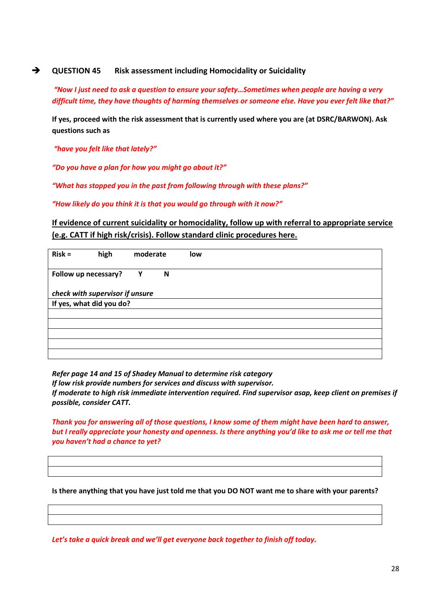#### **→** QUESTION 45 Risk assessment including Homocidality or Suicidality

*"Now I just need to ask a question to ensure your safety…Sometimes when people are having a very difficult time, they have thoughts of harming themselves or someone else. Have you ever felt like that?"*

**If yes, proceed with the risk assessment that is currently used where you are (at DSRC/BARWON). Ask questions such as** 

*"have you felt like that lately?"*

*"Do you have a plan for how you might go about it?"*

*"What has stopped you in the past from following through with these plans?"*

*"How likely do you think it is that you would go through with it now?"*

#### **If evidence of current suicidality or homocidality, follow up with referral to appropriate service (e.g. CATT if high risk/crisis). Follow standard clinic procedures here.**

| $Risk =$                        | high | moderate | low |
|---------------------------------|------|----------|-----|
| Follow up necessary?            |      | Y<br>N   |     |
| check with supervisor if unsure |      |          |     |
| If yes, what did you do?        |      |          |     |
|                                 |      |          |     |
|                                 |      |          |     |
|                                 |      |          |     |
|                                 |      |          |     |
|                                 |      |          |     |

*Refer page 14 and 15 of Shadey Manual to determine risk category*

*If low risk provide numbers for services and discuss with supervisor.*

*If moderate to high risk immediate intervention required. Find supervisor asap, keep client on premises if possible, consider CATT.*

*Thank you for answering all of those questions, I know some of them might have been hard to answer, but I really appreciate your honesty and openness. Is there anything you'd like to ask me or tell me that you haven't had a chance to yet?*

**Is there anything that you have just told me that you DO NOT want me to share with your parents?**

*Let's take a quick break and we'll get everyone back together to finish off today.*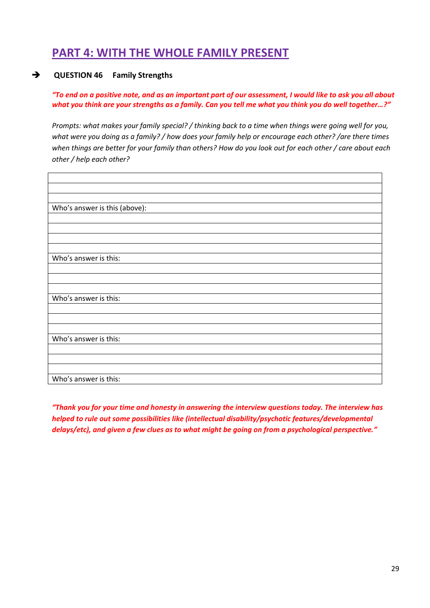## **PART 4: WITH THE WHOLE FAMILY PRESENT**

#### **QUESTION 46 Family Strengths**

*"To end on a positive note, and as an important part of our assessment, I would like to ask you all about what you think are your strengths as a family. Can you tell me what you think you do well together…?"*

*Prompts: what makes your family special? / thinking back to a time when things were going well for you, what were you doing as a family? / how does your family help or encourage each other? /are there times when things are better for your family than others? How do you look out for each other / care about each other / help each other?*

| Who's answer is this (above): |
|-------------------------------|
|                               |
|                               |
|                               |
|                               |
| Who's answer is this:         |
|                               |
|                               |
|                               |
| Who's answer is this:         |
|                               |
|                               |
|                               |
| Who's answer is this:         |
|                               |
|                               |
|                               |
| Who's answer is this:         |

*"Thank you for your time and honesty in answering the interview questions today. The interview has helped to rule out some possibilities like (intellectual disability/psychotic features/developmental delays/etc), and given a few clues as to what might be going on from a psychological perspective."*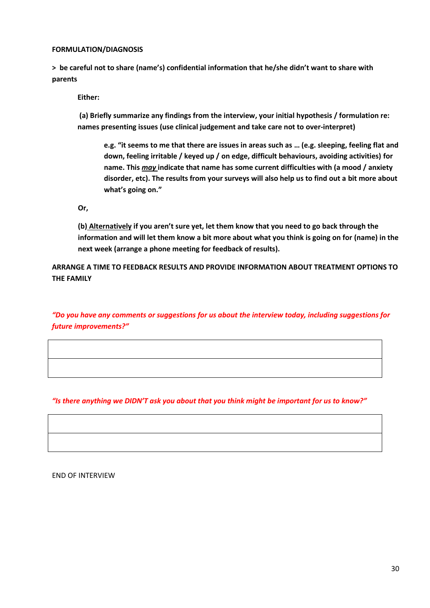#### **FORMULATION/DIAGNOSIS**

**> be careful not to share (name's) confidential information that he/she didn't want to share with parents**

**Either:**

**(a) Briefly summarize any findings from the interview, your initial hypothesis / formulation re: names presenting issues (use clinical judgement and take care not to over-interpret)**

**e.g. "it seems to me that there are issues in areas such as … (e.g. sleeping, feeling flat and down, feeling irritable / keyed up / on edge, difficult behaviours, avoiding activities) for name. This** *may* **indicate that name has some current difficulties with (a mood / anxiety disorder, etc). The results from your surveys will also help us to find out a bit more about what's going on."**

**Or,** 

**(b) Alternatively if you aren't sure yet, let them know that you need to go back through the information and will let them know a bit more about what you think is going on for (name) in the next week (arrange a phone meeting for feedback of results).**

**ARRANGE A TIME TO FEEDBACK RESULTS AND PROVIDE INFORMATION ABOUT TREATMENT OPTIONS TO THE FAMILY**

*"Do you have any comments or suggestions for us about the interview today, including suggestions for future improvements?"*

*"Is there anything we DIDN'T ask you about that you think might be important for us to know?"*

END OF INTERVIEW